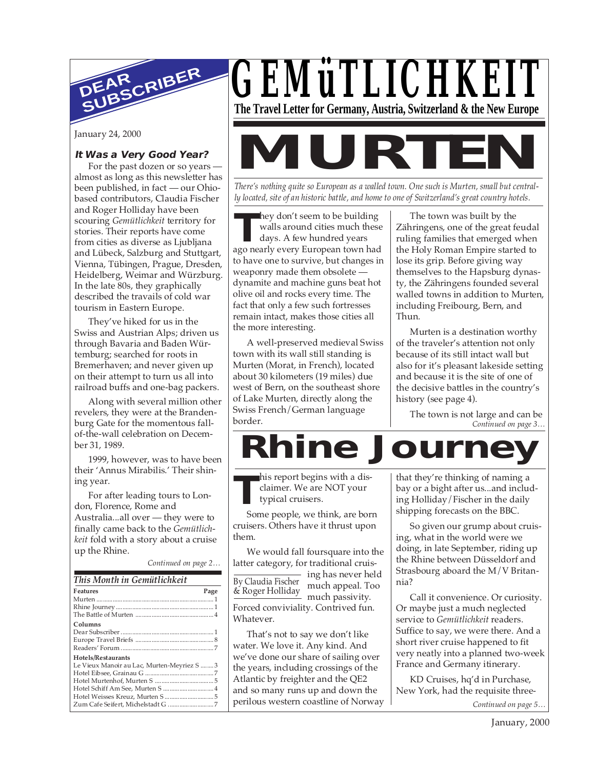

January 24, 2000

#### **It Was a Very Good Year?**

For the past dozen or so years almost as long as this newsletter has been published, in fact — our Ohiobased contributors, Claudia Fischer and Roger Holliday have been scouring *Gemütlichkeit* territory for stories. Their reports have come from cities as diverse as Ljubljana and Lübeck, Salzburg and Stuttgart, Vienna, Tübingen, Prague, Dresden, Heidelberg, Weimar and Würzburg. In the late 80s, they graphically described the travails of cold war tourism in Eastern Europe.

They've hiked for us in the Swiss and Austrian Alps; driven us through Bavaria and Baden Würtemburg; searched for roots in Bremerhaven; and never given up on their attempt to turn us all into railroad buffs and one-bag packers.

Along with several million other revelers, they were at the Brandenburg Gate for the momentous fallof-the-wall celebration on December 31, 1989.

1999, however, was to have been their 'Annus Mirabilis.' Their shining year.

For after leading tours to London, Florence, Rome and Australia...all over — they were to finally came back to the *Gemütlichkeit* fold with a story about a cruise up the Rhine.

*Continued on page 2…*

| This Month in Gemütlichkeit                 |      |  |  |
|---------------------------------------------|------|--|--|
| <b>Features</b>                             | Page |  |  |
|                                             |      |  |  |
|                                             |      |  |  |
|                                             |      |  |  |
| Columns                                     |      |  |  |
|                                             |      |  |  |
|                                             |      |  |  |
|                                             |      |  |  |
| Hotels/Restaurants                          |      |  |  |
| Le Vieux Manoir au Lac, Murten-Meyriez S  3 |      |  |  |
|                                             |      |  |  |
|                                             |      |  |  |
|                                             |      |  |  |
|                                             |      |  |  |
|                                             |      |  |  |



# **MURTEN**

*There's nothing quite so European as a walled town. One such is Murten, small but centrally located, site of an historic battle, and home to one of Switzerland's great country hotels.*

**T** ago nearly every European town had hey don't seem to be building walls around cities much these days. A few hundred years to have one to survive, but changes in weaponry made them obsolete dynamite and machine guns beat hot olive oil and rocks every time. The fact that only a few such fortresses remain intact, makes those cities all the more interesting.

A well-preserved medieval Swiss town with its wall still standing is Murten (Morat, in French), located about 30 kilometers (19 miles) due west of Bern, on the southeast shore of Lake Murten, directly along the Swiss French/German language border.

The town was built by the Zähringens, one of the great feudal ruling families that emerged when the Holy Roman Empire started to lose its grip. Before giving way themselves to the Hapsburg dynasty, the Zähringens founded several walled towns in addition to Murten, including Freibourg, Bern, and Thun.

Murten is a destination worthy of the traveler's attention not only because of its still intact wall but also for it's pleasant lakeside setting and because it is the site of one of the decisive battles in the country's history (see page 4).

*Continued on page 3…* The town is not large and can be

**Rhine Journe** 

**T** his report begins with a disclaimer. We are NOT your typical cruisers.

Some people, we think, are born cruisers. Others have it thrust upon them.

We would fall foursquare into the latter category, for traditional cruis-

ing has never held much appeal. Too much passivity. Forced conviviality. Contrived fun. Whatever. By Claudia Fischer & Roger Holliday

That's not to say we don't like water. We love it. Any kind. And we've done our share of sailing over the years, including crossings of the Atlantic by freighter and the QE2 and so many runs up and down the perilous western coastline of Norway

that they're thinking of naming a bay or a bight after us...and including Holliday/Fischer in the daily shipping forecasts on the BBC.

So given our grump about cruising, what in the world were we doing, in late September, riding up the Rhine between Düsseldorf and Strasbourg aboard the M/V Britannia?

Call it convenience. Or curiosity. Or maybe just a much neglected service to *Gemütlichkeit* readers. Suffice to say, we were there. And a short river cruise happened to fit very neatly into a planned two-week France and Germany itinerary.

KD Cruises, hq'd in Purchase, New York, had the requisite three-

*Continued on page 5…*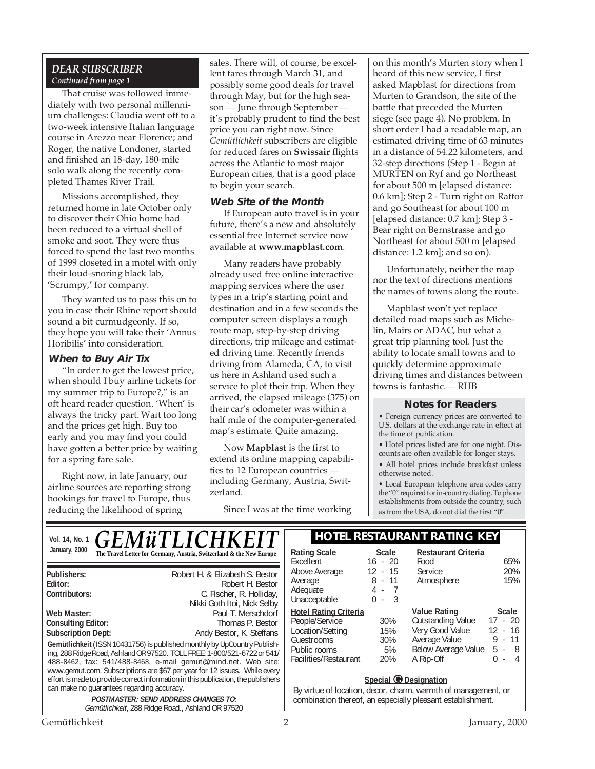#### *DEAR SUBSCRIBER Continued from page 1*

That cruise was followed immediately with two personal millennium challenges: Claudia went off to a two-week intensive Italian language course in Arezzo near Florence; and Roger, the native Londoner, started and finished an 18-day, 180-mile solo walk along the recently completed Thames River Trail.

Missions accomplished, they returned home in late October only to discover their Ohio home had been reduced to a virtual shell of smoke and soot. They were thus forced to spend the last two months of 1999 closeted in a motel with only their loud-snoring black lab, 'Scrumpy,' for company.

They wanted us to pass this on to you in case their Rhine report should sound a bit curmudgeonly. If so, they hope you will take their 'Annus Horibilis' into consideration.

#### **When to Buy Air Tix**

"In order to get the lowest price, when should I buy airline tickets for my summer trip to Europe?," is an oft heard reader question. 'When' is always the tricky part. Wait too long and the prices get high. Buy too early and you may find you could have gotten a better price by waiting for a spring fare sale.

Right now, in late January, our airline sources are reporting strong bookings for travel to Europe, thus reducing the likelihood of spring

can make no guarantees regarding accuracy.

sales. There will, of course, be excellent fares through March 31, and possibly some good deals for travel through May, but for the high season — June through September it's probably prudent to find the best price you can right now. Since *Gemütlichkeit* subscribers are eligible for reduced fares on **Swissair** flights across the Atlantic to most major European cities, that is a good place to begin your search.

#### **Web Site of the Month**

If European auto travel is in your future, there's a new and absolutely essential free Internet service now available at **www.mapblast.com**.

Many readers have probably already used free online interactive mapping services where the user types in a trip's starting point and destination and in a few seconds the computer screen displays a rough route map, step-by-step driving directions, trip mileage and estimated driving time. Recently friends driving from Alameda, CA, to visit us here in Ashland used such a service to plot their trip. When they arrived, the elapsed mileage (375) on their car's odometer was within a half mile of the computer-generated map's estimate. Quite amazing.

Now **Mapblast** is the first to extend its online mapping capabilities to 12 European countries including Germany, Austria, Switzerland.

Since I was at the time working

on this month's Murten story when I heard of this new service, I first asked Mapblast for directions from Murten to Grandson, the site of the battle that preceded the Murten siege (see page 4). No problem. In short order I had a readable map, an estimated driving time of 63 minutes in a distance of 54.22 kilometers, and 32-step directions (Step 1 - Begin at MURTEN on Ryf and go Northeast for about 500 m [elapsed distance: 0.6 km]; Step 2 - Turn right on Raffor and go Southeast for about 100 m [elapsed distance: 0.7 km]; Step 3 - Bear right on Bernstrasse and go Northeast for about 500 m [elapsed distance: 1.2 km]; and so on).

Unfortunately, neither the map nor the text of directions mentions the names of towns along the route.

Mapblast won't yet replace detailed road maps such as Michelin, Mairs or ADAC, but what a great trip planning tool. Just the ability to locate small towns and to quickly determine approximate driving times and distances between towns is fantastic.— RHB

#### **Notes for Readers**

• Foreign currency prices are converted to U.S. dollars at the exchange rate in effect at the time of publication.

• Hotel prices listed are for one night. Discounts are often available for longer stays.

• All hotel prices include breakfast unless otherwise noted.

• Local European telephone area codes carry the "0" required for in-country dialing. To phone establishments from outside the country, such as from the USA, do not dial the first "0".

**Gemütlichkeit** (ISSN 10431756) is published monthly by UpCountry Publishing, 288 Ridge Road, Ashland OR 97520. TOLL FREE: 1-800/521-6722 or 541/ 488-8462, fax: 541/488-8468, e-mail gemut@mind.net. Web site: www.gemut.com. Subscriptions are \$67 per year for 12 issues. While every effort is made to provide correct information in this publication, the publishers **Publishers:** Robert H. & Elizabeth S. Bestor **Editor:** Robert H. Bestor **C.** Fischer, R. Holliday, Nikki Goth Itoi, Nick Selby **Web Master:** Paul T. Merschdorf Consulting Editor: **Paul T. Merschdorf** Consulting Editor: **Consulting Editor: Subscription Dept:** Andy Bestor, K. Steffans January, 2000 **Rational Contract Contract Contract Contract Contract Contract Contract Contract Contract Contract Contract Contract Contract Contract Contract Contract Contract Contract Contract Contract Contract Contract** *GEMüTLICHKEI* 

> **POSTMASTER: SEND ADDRESS CHANGES TO:** Gemütlichkeit, 288 Ridge Road., Ashland OR 97520

#### Vol. 14, No. 1 **C F M ii T I I C H K F I T** | HOTEL RESTAURANT RATING KEY

| <b>Rating Scale</b>          | <b>Scale</b> | <b>Restaurant Criteria</b> |                       |
|------------------------------|--------------|----------------------------|-----------------------|
| Excellent                    | $16 - 20$    | Food                       | 65%                   |
| Above Average                | $12 - 15$    | Service                    | 20%                   |
| Average                      | $8 - 11$     | Atmosphere                 | 15%                   |
| Adequate                     | 4 - 7        |                            |                       |
| Unacceptable                 | - 3<br>0 -   |                            |                       |
| <b>Hotel Rating Criteria</b> |              | <b>Value Rating</b>        | <b>Scale</b>          |
| People/Service               | 30%          | Outstanding Value          | $17 - 20$             |
| Location/Setting             | 15%          | Very Good Value            | $12 - 16$             |
| Guestrooms                   | 30%          | Average Value              | $9 - 11$              |
| Public rooms                 | 5%           | Below Average Value        | 5 -<br>- 8            |
| Facilities/Restaurant        | 20%          | A Rip-Off                  | $\overline{4}$<br>ი - |
|                              |              |                            |                       |

#### **Special © Designation**

By virtue of location, decor, charm, warmth of management, or combination thereof, an especially pleasant establishment.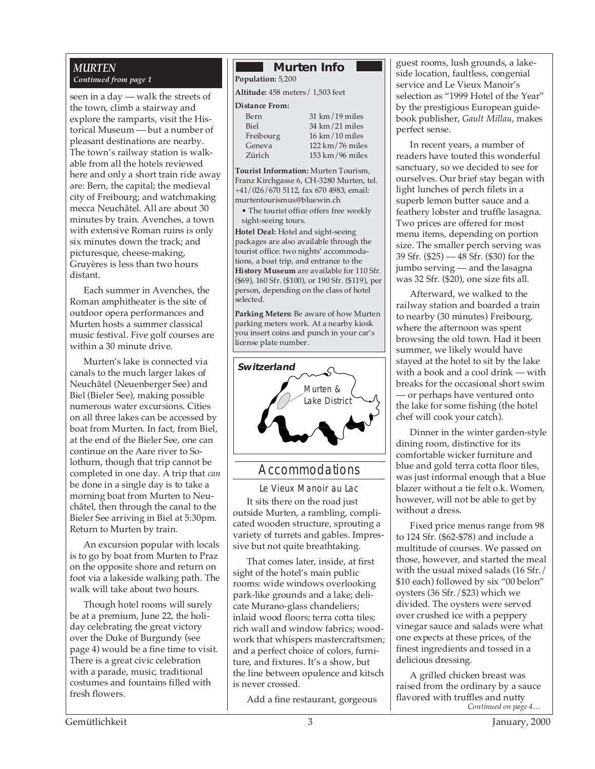#### *MURTEN Continued from page 1*

seen in a day — walk the streets of the town, climb a stairway and explore the ramparts, visit the Historical Museum — but a number of pleasant destinations are nearby. The town's railway station is walkable from all the hotels reviewed here and only a short train ride away are: Bern, the capital; the medieval city of Freibourg; and watchmaking mecca Neuchâtel. All are about 30 minutes by train. Avenches, a town with extensive Roman ruins is only six minutes down the track; and picturesque, cheese-making, Gruyères is less than two hours distant.

Each summer in Avenches, the Roman amphitheater is the site of outdoor opera performances and Murten hosts a summer classical music festival. Five golf courses are within a 30 minute drive.

Murten's lake is connected via canals to the much larger lakes of Neuchâtel (Neuenberger See) and Biel (Bieler See), making possible numerous water excursions. Cities on all three lakes can be accessed by boat from Murten. In fact, from Biel, at the end of the Bieler See, one can continue on the Aare river to Solothurn, though that trip cannot be completed in one day. A trip that *can* be done in a single day is to take a morning boat from Murten to Neuchâtel, then through the canal to the Bieler See arriving in Biel at 5:30pm. Return to Murten by train.

An excursion popular with locals is to go by boat from Murten to Praz on the opposite shore and return on foot via a lakeside walking path. The walk will take about two hours.

Though hotel rooms will surely be at a premium, June 22, the holiday celebrating the great victory over the Duke of Burgundy (see page 4) would be a fine time to visit. There is a great civic celebration with a parade, music, traditional costumes and fountains filled with fresh flowers.

#### **Murten Info**

**Population:** 5,200 **Altitude:** 458 meters/ 1,503 feet

#### **Distance From:**

| Bern      |  |
|-----------|--|
| Biel      |  |
| Freibourg |  |
|           |  |
| Geneva    |  |
| Zürich    |  |

 $31 \text{ km}/19 \text{ miles}$  $34 \text{ km}/21 \text{ miles}$  $16$  km/ $10$  miles  $122 \text{ km} / 76 \text{ miles}$  $153 \text{ km}/96 \text{ miles}$ 

**Tourist Information:** Murten Tourism, Franz Kirchgasse 6, CH-3280 Murten, tel. +41/026/670 5112, fax 670 4983, email: murtentourismus@bluewin.ch

• The tourist office offers free weekly sight-seeing tours.

**Hotel Deal:** Hotel and sight-seeing packages are also available through the tourist office: two nights' accommodations, a boat trip, and entrance to the **History Museum** are available for 110 Sfr. (\$69), 160 Sfr. (\$100), or 190 Sfr. (\$119), per person, depending on the class of hotel selected.

**Parking Meters:** Be aware of how Murten parking meters work. At a nearby kiosk you insert coins and punch in your car's license plate number.



#### Accommodations

Le Vieux Manoir au Lac It sits there on the road just outside Murten, a rambling, complicated wooden structure, sprouting a variety of turrets and gables. Impressive but not quite breathtaking.

That comes later, inside, at first sight of the hotel's main public rooms: wide windows overlooking park-like grounds and a lake; delicate Murano-glass chandeliers; inlaid wood floors; terra cotta tiles; rich wall and window fabrics; woodwork that whispers mastercraftsmen; and a perfect choice of colors, furniture, and fixtures. It's a show, but the line between opulence and kitsch is never crossed.

Add a fine restaurant, gorgeous

guest rooms, lush grounds, a lakeside location, faultless, congenial service and Le Vieux Manoir's selection as "1999 Hotel of the Year" by the prestigious European guidebook publisher, *Gault Millau*, makes perfect sense.

In recent years, a number of readers have touted this wonderful sanctuary, so we decided to see for ourselves. Our brief stay began with light lunches of perch filets in a superb lemon butter sauce and a feathery lobster and truffle lasagna. Two prices are offered for most menu items, depending on portion size. The smaller perch serving was 39 Sfr. (\$25) — 48 Sfr. (\$30) for the jumbo serving — and the lasagna was 32 Sfr. (\$20), one size fits all.

Afterward, we walked to the railway station and boarded a train to nearby (30 minutes) Freibourg, where the afternoon was spent browsing the old town. Had it been summer, we likely would have stayed at the hotel to sit by the lake with a book and a cool drink — with breaks for the occasional short swim — or perhaps have ventured onto the lake for some fishing (the hotel chef will cook your catch).

Dinner in the winter garden-style dining room, distinctive for its comfortable wicker furniture and blue and gold terra cotta floor tiles, was just informal enough that a blue blazer without a tie felt o.k. Women, however, will not be able to get by without a dress.

Fixed price menus range from 98 to 124 Sfr. (\$62-\$78) and include a multitude of courses. We passed on those, however, and started the meal with the usual mixed salads (16 Sfr./ \$10 each) followed by six "00 belon" oysters (36 Sfr./\$23) which we divided. The oysters were served over crushed ice with a peppery vinegar sauce and salads were what one expects at these prices, of the finest ingredients and tossed in a delicious dressing.

*Continued on page 4…* A grilled chicken breast was raised from the ordinary by a sauce flavored with truffles and nutty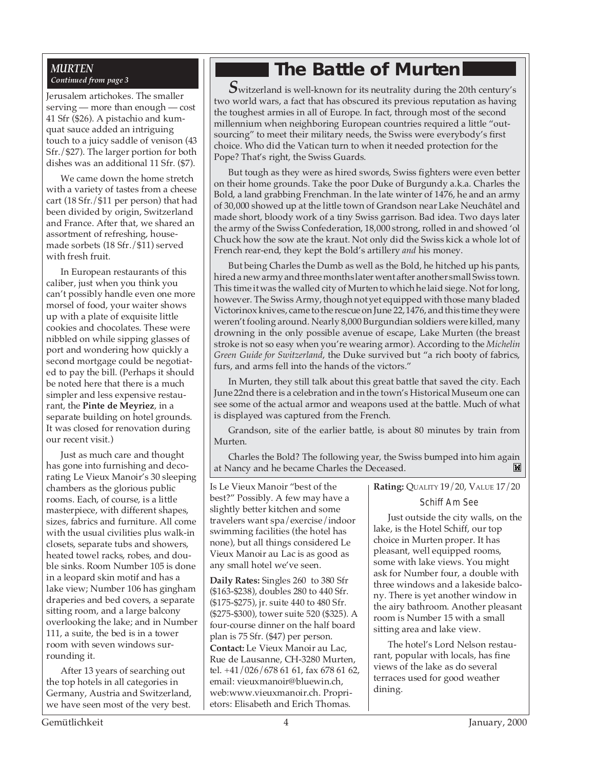#### *MURTEN Continued from page 3*

Jerusalem artichokes. The smaller serving — more than enough — cost 41 Sfr (\$26). A pistachio and kumquat sauce added an intriguing touch to a juicy saddle of venison (43 Sfr./\$27). The larger portion for both dishes was an additional 11 Sfr. (\$7).

Mu

We came down the home stretch with a variety of tastes from a cheese cart (18 Sfr./\$11 per person) that had been divided by origin, Switzerland and France. After that, we shared an assortment of refreshing, housemade sorbets (18 Sfr./\$11) served with fresh fruit.

In European restaurants of this caliber, just when you think you can't possibly handle even one more morsel of food, your waiter shows up with a plate of exquisite little cookies and chocolates. These were nibbled on while sipping glasses of port and wondering how quickly a second mortgage could be negotiated to pay the bill. (Perhaps it should be noted here that there is a much simpler and less expensive restaurant, the **Pinte de Meyriez**, in a separate building on hotel grounds. It was closed for renovation during our recent visit.)

Just as much care and thought has gone into furnishing and decorating Le Vieux Manoir's 30 sleeping chambers as the glorious public rooms. Each, of course, is a little masterpiece, with different shapes, sizes, fabrics and furniture. All come with the usual civilities plus walk-in closets, separate tubs and showers, heated towel racks, robes, and double sinks. Room Number 105 is done in a leopard skin motif and has a lake view; Number 106 has gingham draperies and bed covers, a separate sitting room, and a large balcony overlooking the lake; and in Number 111, a suite, the bed is in a tower room with seven windows surrounding it.

After 13 years of searching out the top hotels in all categories in Germany, Austria and Switzerland, we have seen most of the very best.

### **The Battle of Murten**

 $\boldsymbol{S}$ witzerland is well-known for its neutrality during the 20th century's two world wars, a fact that has obscured its previous reputation as having the toughest armies in all of Europe. In fact, through most of the second millennium when neighboring European countries required a little "outsourcing" to meet their military needs, the Swiss were everybody's first choice. Who did the Vatican turn to when it needed protection for the Pope? That's right, the Swiss Guards.

But tough as they were as hired swords, Swiss fighters were even better on their home grounds. Take the poor Duke of Burgundy a.k.a. Charles the Bold, a land grabbing Frenchman. In the late winter of 1476, he and an army of 30,000 showed up at the little town of Grandson near Lake Neuchâtel and made short, bloody work of a tiny Swiss garrison. Bad idea. Two days later the army of the Swiss Confederation, 18,000 strong, rolled in and showed 'ol Chuck how the sow ate the kraut. Not only did the Swiss kick a whole lot of French rear-end, they kept the Bold's artillery *and* his money.

But being Charles the Dumb as well as the Bold, he hitched up his pants, hired a new army and three months later went after another small Swiss town. This time it was the walled city of Murten to which he laid siege. Not for long, however. The Swiss Army, though not yet equipped with those many bladed Victorinox knives, came to the rescue on June 22, 1476, and this time they were weren't fooling around. Nearly 8,000 Burgundian soldiers were killed, many drowning in the only possible avenue of escape, Lake Murten (the breast stroke is not so easy when you're wearing armor). According to the *Michelin Green Guide for Switzerland*, the Duke survived but "a rich booty of fabrics, furs, and arms fell into the hands of the victors."

In Murten, they still talk about this great battle that saved the city. Each June 22nd there is a celebration and in the town's Historical Museum one can see some of the actual armor and weapons used at the battle. Much of what is displayed was captured from the French.

Grandson, site of the earlier battle, is about 80 minutes by train from Murten.

Charles the Bold? The following year, the Swiss bumped into him again at Nancy and he became Charles the Deceased.'М

Is Le Vieux Manoir "best of the best?" Possibly. A few may have a slightly better kitchen and some travelers want spa/exercise/indoor swimming facilities (the hotel has none), but all things considered Le Vieux Manoir au Lac is as good as any small hotel we've seen.

**Daily Rates:** Singles 260 to 380 Sfr (\$163-\$238), doubles 280 to 440 Sfr. (\$175-\$275), jr. suite 440 to 480 Sfr. (\$275-\$300), tower suite 520 (\$325). A four-course dinner on the half board plan is 75 Sfr. (\$47) per person. **Contact:** Le Vieux Manoir au Lac, Rue de Lausanne, CH-3280 Murten, tel. +41/026/678 61 61, fax 678 61 62, email: vieuxmanoir@bluewin.ch, web:www.vieuxmanoir.ch. Proprietors: Elisabeth and Erich Thomas.

**Rating:** QUALITY 19/20, VALUE 17/20

#### Schiff Am See

Just outside the city walls, on the lake, is the Hotel Schiff, our top choice in Murten proper. It has pleasant, well equipped rooms, some with lake views. You might ask for Number four, a double with three windows and a lakeside balcony. There is yet another window in the airy bathroom. Another pleasant room is Number 15 with a small sitting area and lake view.

The hotel's Lord Nelson restaurant, popular with locals, has fine views of the lake as do several terraces used for good weather dining.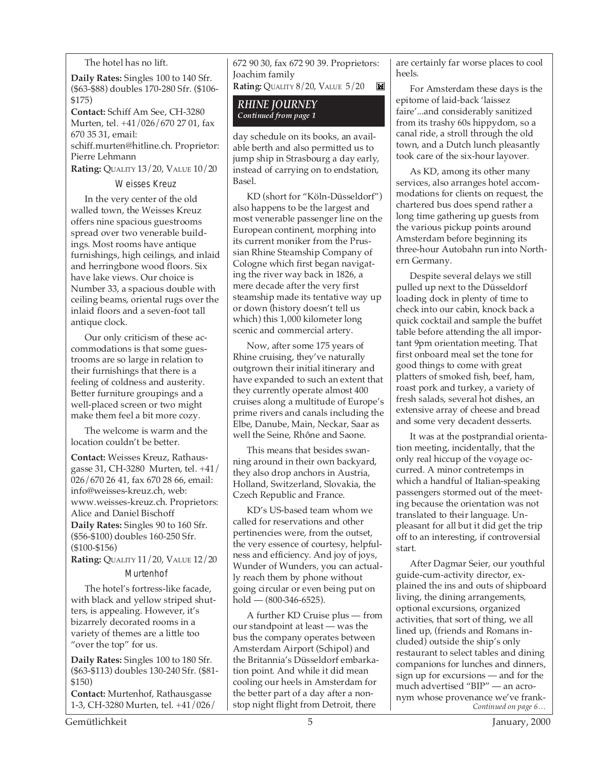#### The hotel has no lift.

**Daily Rates:** Singles 100 to 140 Sfr. (\$63-\$88) doubles 170-280 Sfr. (\$106- \$175)

**Contact:** Schiff Am See, CH-3280 Murten, tel. +41/026/670 27 01, fax 670 35 31, email: schiff.murten@hitline.ch. Proprietor: Pierre Lehmann

**Rating:** QUALITY 13/20, VALUE 10/20

#### Weisses Kreuz

In the very center of the old walled town, the Weisses Kreuz offers nine spacious guestrooms spread over two venerable buildings. Most rooms have antique furnishings, high ceilings, and inlaid and herringbone wood floors. Six have lake views. Our choice is Number 33, a spacious double with ceiling beams, oriental rugs over the inlaid floors and a seven-foot tall antique clock.

Our only criticism of these accommodations is that some guestrooms are so large in relation to their furnishings that there is a feeling of coldness and austerity. Better furniture groupings and a well-placed screen or two might make them feel a bit more cozy.

The welcome is warm and the location couldn't be better.

**Contact:** Weisses Kreuz, Rathausgasse 31, CH-3280 Murten, tel. +41/ 026/670 26 41, fax 670 28 66, email: info@weisses-kreuz.ch, web: www.weisses-kreuz.ch. Proprietors: Alice and Daniel Bischoff **Daily Rates:** Singles 90 to 160 Sfr. (\$56-\$100) doubles 160-250 Sfr. (\$100-\$156)

**Rating: QUALITY 11/20, VALUE 12/20 Murtenhof** 

The hotel's fortress-like facade, with black and yellow striped shutters, is appealing. However, it's bizarrely decorated rooms in a variety of themes are a little too "over the top" for us.

**Daily Rates:** Singles 100 to 180 Sfr. (\$63-\$113) doubles 130-240 Sfr. (\$81- \$150)

**Contact:** Murtenhof, Rathausgasse 1-3, CH-3280 Murten, tel. +41/026/ 672 90 30, fax 672 90 39. Proprietors: Joachim family **Rating:** QUALITY 8/20, VALUE 5/20 K

*RHINE JOURNEY Continued from page 1*

day schedule on its books, an available berth and also permitted us to jump ship in Strasbourg a day early, instead of carrying on to endstation, Basel.

KD (short for "Köln-Düsseldorf") also happens to be the largest and most venerable passenger line on the European continent, morphing into its current moniker from the Prussian Rhine Steamship Company of Cologne which first began navigating the river way back in 1826, a mere decade after the very first steamship made its tentative way up or down (history doesn't tell us which) this 1,000 kilometer long scenic and commercial artery.

Now, after some 175 years of Rhine cruising, they've naturally outgrown their initial itinerary and have expanded to such an extent that they currently operate almost 400 cruises along a multitude of Europe's prime rivers and canals including the Elbe, Danube, Main, Neckar, Saar as well the Seine, Rhône and Saone.

This means that besides swanning around in their own backyard, they also drop anchors in Austria, Holland, Switzerland, Slovakia, the Czech Republic and France.

KD's US-based team whom we called for reservations and other pertinencies were, from the outset, the very essence of courtesy, helpfulness and efficiency. And joy of joys, Wunder of Wunders, you can actually reach them by phone without going circular or even being put on  $hold - (800-346-6525).$ 

A further KD Cruise plus — from our standpoint at least — was the bus the company operates between Amsterdam Airport (Schipol) and the Britannia's Düsseldorf embarkation point. And while it did mean cooling our heels in Amsterdam for the better part of a day after a nonstop night flight from Detroit, there

are certainly far worse places to cool heels.

For Amsterdam these days is the epitome of laid-back 'laissez faire'...and considerably sanitized from its trashy 60s hippydom, so a canal ride, a stroll through the old town, and a Dutch lunch pleasantly took care of the six-hour layover.

As KD, among its other many services, also arranges hotel accommodations for clients on request, the chartered bus does spend rather a long time gathering up guests from the various pickup points around Amsterdam before beginning its three-hour Autobahn run into Northern Germany.

Despite several delays we still pulled up next to the Düsseldorf loading dock in plenty of time to check into our cabin, knock back a quick cocktail and sample the buffet table before attending the all important 9pm orientation meeting. That first onboard meal set the tone for good things to come with great platters of smoked fish, beef, ham, roast pork and turkey, a variety of fresh salads, several hot dishes, an extensive array of cheese and bread and some very decadent desserts.

It was at the postprandial orientation meeting, incidentally, that the only real hiccup of the voyage occurred. A minor contretemps in which a handful of Italian-speaking passengers stormed out of the meeting because the orientation was not translated to their language. Unpleasant for all but it did get the trip off to an interesting, if controversial start.

*Continued on page 6…* After Dagmar Seier, our youthful guide-cum-activity director, explained the ins and outs of shipboard living, the dining arrangements, optional excursions, organized activities, that sort of thing, we all lined up, (friends and Romans included) outside the ship's only restaurant to select tables and dining companions for lunches and dinners, sign up for excursions — and for the much advertised "BIP" — an acronym whose provenance we've frank-

Gemütlichkeit 5 January, 2000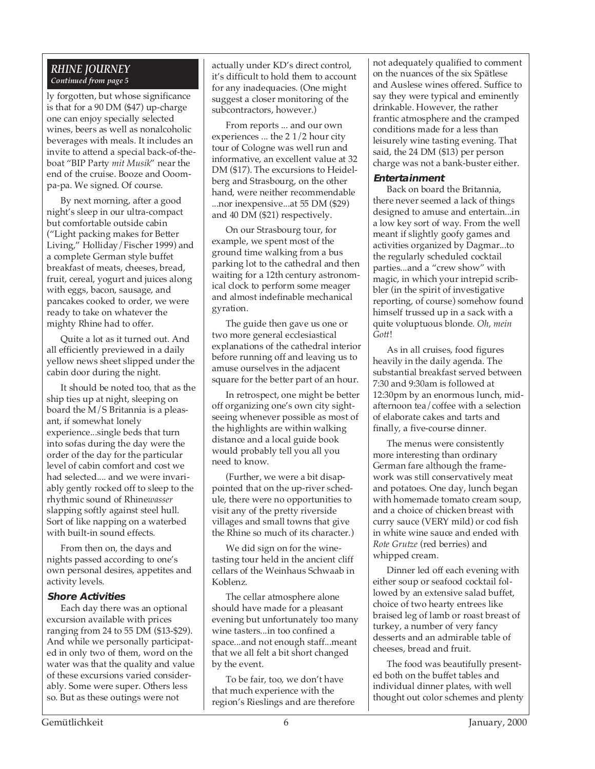#### *RHINE JOURNEY Continued from page 5*

ly forgotten, but whose significance is that for a 90 DM (\$47) up-charge one can enjoy specially selected wines, beers as well as nonalcoholic beverages with meals. It includes an invite to attend a special back-of-theboat "BIP Party *mit Musik*" near the end of the cruise. Booze and Ooompa-pa. We signed. Of course.

By next morning, after a good night's sleep in our ultra-compact but comfortable outside cabin ("Light packing makes for Better Living," Holliday/Fischer 1999) and a complete German style buffet breakfast of meats, cheeses, bread, fruit, cereal, yogurt and juices along with eggs, bacon, sausage, and pancakes cooked to order, we were ready to take on whatever the mighty Rhine had to offer.

Quite a lot as it turned out. And all efficiently previewed in a daily yellow news sheet slipped under the cabin door during the night.

It should be noted too, that as the ship ties up at night, sleeping on board the M/S Britannia is a pleasant, if somewhat lonely experience...single beds that turn into sofas during the day were the order of the day for the particular level of cabin comfort and cost we had selected.... and we were invariably gently rocked off to sleep to the rhythmic sound of Rhine*wasser* slapping softly against steel hull. Sort of like napping on a waterbed with built-in sound effects.

From then on, the days and nights passed according to one's own personal desires, appetites and activity levels.

#### **Shore Activities**

Each day there was an optional excursion available with prices ranging from 24 to 55 DM (\$13-\$29). And while we personally participated in only two of them, word on the water was that the quality and value of these excursions varied considerably. Some were super. Others less so. But as these outings were not

actually under KD's direct control, it's difficult to hold them to account for any inadequacies. (One might suggest a closer monitoring of the subcontractors, however.)

From reports ... and our own experiences ... the 2 1/2 hour city tour of Cologne was well run and informative, an excellent value at 32 DM (\$17). The excursions to Heidelberg and Strasbourg, on the other hand, were neither recommendable ...nor inexpensive...at 55 DM (\$29) and 40 DM (\$21) respectively.

On our Strasbourg tour, for example, we spent most of the ground time walking from a bus parking lot to the cathedral and then waiting for a 12th century astronomical clock to perform some meager and almost indefinable mechanical gyration.

The guide then gave us one or two more general ecclesiastical explanations of the cathedral interior before running off and leaving us to amuse ourselves in the adjacent square for the better part of an hour.

In retrospect, one might be better off organizing one's own city sightseeing whenever possible as most of the highlights are within walking distance and a local guide book would probably tell you all you need to know.

(Further, we were a bit disappointed that on the up-river schedule, there were no opportunities to visit any of the pretty riverside villages and small towns that give the Rhine so much of its character.)

We did sign on for the winetasting tour held in the ancient cliff cellars of the Weinhaus Schwaab in Koblenz.

The cellar atmosphere alone should have made for a pleasant evening but unfortunately too many wine tasters...in too confined a space...and not enough staff...meant that we all felt a bit short changed by the event.

To be fair, too, we don't have that much experience with the region's Rieslings and are therefore not adequately qualified to comment on the nuances of the six Spätlese and Auslese wines offered. Suffice to say they were typical and eminently drinkable. However, the rather frantic atmosphere and the cramped conditions made for a less than leisurely wine tasting evening. That said, the 24 DM (\$13) per person charge was not a bank-buster either.

#### **Entertainment**

Back on board the Britannia, there never seemed a lack of things designed to amuse and entertain...in a low key sort of way. From the well meant if slightly goofy games and activities organized by Dagmar...to the regularly scheduled cocktail parties...and a "crew show" with magic, in which your intrepid scribbler (in the spirit of investigative reporting, of course) somehow found himself trussed up in a sack with a quite voluptuous blonde. *Oh, mein Gott*!

As in all cruises, food figures heavily in the daily agenda. The substantial breakfast served between 7:30 and 9:30am is followed at 12:30pm by an enormous lunch, midafternoon tea/coffee with a selection of elaborate cakes and tarts and finally, a five-course dinner.

The menus were consistently more interesting than ordinary German fare although the framework was still conservatively meat and potatoes. One day, lunch began with homemade tomato cream soup, and a choice of chicken breast with curry sauce (VERY mild) or cod fish in white wine sauce and ended with *Rote Grutze* (red berries) and whipped cream.

Dinner led off each evening with either soup or seafood cocktail followed by an extensive salad buffet, choice of two hearty entrees like braised leg of lamb or roast breast of turkey, a number of very fancy desserts and an admirable table of cheeses, bread and fruit.

The food was beautifully presented both on the buffet tables and individual dinner plates, with well thought out color schemes and plenty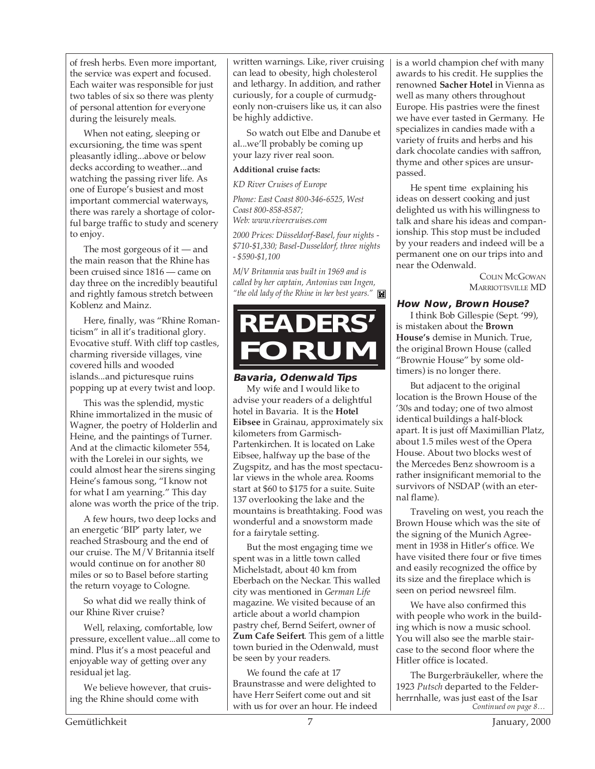of fresh herbs. Even more important, the service was expert and focused. Each waiter was responsible for just two tables of six so there was plenty of personal attention for everyone during the leisurely meals.

When not eating, sleeping or excursioning, the time was spent pleasantly idling...above or below decks according to weather...and watching the passing river life. As one of Europe's busiest and most important commercial waterways, there was rarely a shortage of colorful barge traffic to study and scenery to enjoy.

The most gorgeous of it — and the main reason that the Rhine has been cruised since 1816 — came on day three on the incredibly beautiful and rightly famous stretch between Koblenz and Mainz.

Here, finally, was "Rhine Romanticism" in all it's traditional glory. Evocative stuff. With cliff top castles, charming riverside villages, vine covered hills and wooded islands...and picturesque ruins popping up at every twist and loop.

This was the splendid, mystic Rhine immortalized in the music of Wagner, the poetry of Holderlin and Heine, and the paintings of Turner. And at the climactic kilometer 554, with the Lorelei in our sights, we could almost hear the sirens singing Heine's famous song, "I know not for what I am yearning." This day alone was worth the price of the trip.

A few hours, two deep locks and an energetic 'BIP' party later, we reached Strasbourg and the end of our cruise. The M/V Britannia itself would continue on for another 80 miles or so to Basel before starting the return voyage to Cologne.

So what did we really think of our Rhine River cruise?

Well, relaxing, comfortable, low pressure, excellent value...all come to mind. Plus it's a most peaceful and enjoyable way of getting over any residual jet lag.

We believe however, that cruising the Rhine should come with

written warnings. Like, river cruising can lead to obesity, high cholesterol and lethargy. In addition, and rather curiously, for a couple of curmudgeonly non-cruisers like us, it can also be highly addictive.

So watch out Elbe and Danube et al...we'll probably be coming up your lazy river real soon.

#### **Additional cruise facts:**

*KD River Cruises of Europe*

*Phone: East Coast 800-346-6525, West Coast 800-858-8587; Web: www.rivercruises.com*

*2000 Prices: Düsseldorf-Basel, four nights - \$710-\$1,330; Basel-Dusseldorf, three nights - \$590-\$1,100*

*M/V Britannia was built in 1969 and is called by her captain, Antonius van Ingen, "the old lady of the Rhine in her best years."*

## **READERS' FORUM**

#### **Bavaria, Odenwald Tips**

My wife and I would like to advise your readers of a delightful hotel in Bavaria. It is the **Hotel Eibsee** in Grainau, approximately six kilometers from Garmisch-Partenkirchen. It is located on Lake Eibsee, halfway up the base of the Zugspitz, and has the most spectacular views in the whole area. Rooms start at \$60 to \$175 for a suite. Suite 137 overlooking the lake and the mountains is breathtaking. Food was wonderful and a snowstorm made for a fairytale setting.

But the most engaging time we spent was in a little town called Michelstadt, about 40 km from Eberbach on the Neckar. This walled city was mentioned in *German Life* magazine. We visited because of an article about a world champion pastry chef, Bernd Seifert, owner of **Zum Cafe Seifert**. This gem of a little town buried in the Odenwald, must be seen by your readers.

We found the cafe at 17 Braunstrasse and were delighted to have Herr Seifert come out and sit with us for over an hour. He indeed is a world champion chef with many awards to his credit. He supplies the renowned **Sacher Hotel** in Vienna as well as many others throughout Europe. His pastries were the finest we have ever tasted in Germany. He specializes in candies made with a variety of fruits and herbs and his dark chocolate candies with saffron, thyme and other spices are unsurpassed.

He spent time explaining his ideas on dessert cooking and just delighted us with his willingness to talk and share his ideas and companionship. This stop must be included by your readers and indeed will be a permanent one on our trips into and near the Odenwald.

> COLIN MCGOWAN MARRIOTTSVILLE MD

#### **How Now, Brown House?**

I think Bob Gillespie (Sept. '99), is mistaken about the **Brown House's** demise in Munich. True, the original Brown House (called "Brownie House" by some oldtimers) is no longer there.

But adjacent to the original location is the Brown House of the '30s and today; one of two almost identical buildings a half-block apart. It is just off Maximillian Platz, about 1.5 miles west of the Opera House. About two blocks west of the Mercedes Benz showroom is a rather insignificant memorial to the survivors of NSDAP (with an eternal flame).

Traveling on west, you reach the Brown House which was the site of the signing of the Munich Agreement in 1938 in Hitler's office. We have visited there four or five times and easily recognized the office by its size and the fireplace which is seen on period newsreel film.

We have also confirmed this with people who work in the building which is now a music school. You will also see the marble staircase to the second floor where the Hitler office is located.

*Continued on page 8…* The Burgerbräukeller, where the 1923 *Putsch* departed to the Felderherrnhalle, was just east of the Isar